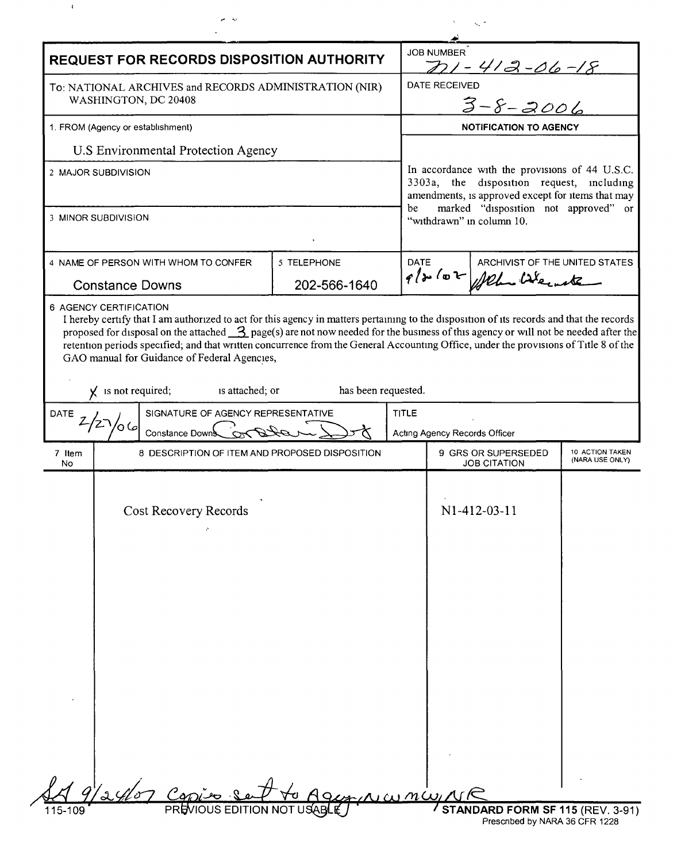|                                                                                                                     | <b>REQUEST FOR RECORDS DISPOSITION AUTHORITY</b> |              |                                                                                                                                                                                                                             | $221 - 412 - 06 - 18$                                                      |              |                                    |  |
|---------------------------------------------------------------------------------------------------------------------|--------------------------------------------------|--------------|-----------------------------------------------------------------------------------------------------------------------------------------------------------------------------------------------------------------------------|----------------------------------------------------------------------------|--------------|------------------------------------|--|
| To: NATIONAL ARCHIVES and RECORDS ADMINISTRATION (NIR)<br>WASHINGTON, DC 20408<br>1. FROM (Agency or establishment) |                                                  |              |                                                                                                                                                                                                                             | VED<br>$3-8-2006$<br><b>DATE RECEIVED</b><br><b>NOTIFICATION TO AGENCY</b> |              |                                    |  |
|                                                                                                                     |                                                  |              |                                                                                                                                                                                                                             |                                                                            |              |                                    |  |
| U.S Environmental Protection Agency                                                                                 |                                                  |              |                                                                                                                                                                                                                             |                                                                            |              |                                    |  |
| 2 MAJOR SUBDIVISION                                                                                                 |                                                  |              | In accordance with the provisions of 44 U.S.C.<br>3303a, the disposition request, including<br>amendments, is approved except for items that may<br>marked "disposition not approved" or<br>be<br>"withdrawn" in column 10. |                                                                            |              |                                    |  |
| 3 MINOR SUBDIVISION                                                                                                 |                                                  |              |                                                                                                                                                                                                                             |                                                                            |              |                                    |  |
|                                                                                                                     | 4 NAME OF PERSON WITH WHOM TO CONFER             | 5 TELEPHONE  | DATE                                                                                                                                                                                                                        | ARCHIVIST OF THE UNITED STATES                                             |              |                                    |  |
| <b>Constance Downs</b>                                                                                              |                                                  | 202-566-1640 |                                                                                                                                                                                                                             | P/2 102 Mehr Weinste                                                       |              |                                    |  |
| is attached; or<br>has been requested.<br>$\chi$ is not required;<br>SIGNATURE OF AGENCY REPRESENTATIVE<br>DATE     |                                                  |              |                                                                                                                                                                                                                             |                                                                            |              |                                    |  |
| Constance Downs Conc                                                                                                |                                                  |              | <b>TITLE</b><br>Acting Agency Records Officer                                                                                                                                                                               |                                                                            |              |                                    |  |
| 7 Item<br>No                                                                                                        | 8 DESCRIPTION OF ITEM AND PROPOSED DISPOSITION   |              |                                                                                                                                                                                                                             | 9 GRS OR SUPERSEDED<br><b>JOB CITATION</b>                                 |              | 10 ACTION TAKEN<br>(NARA USE ONLY) |  |
|                                                                                                                     | Cost Recovery Records                            |              |                                                                                                                                                                                                                             |                                                                            | N1-412-03-11 |                                    |  |
|                                                                                                                     |                                                  |              |                                                                                                                                                                                                                             |                                                                            |              |                                    |  |

 $\mathcal{A}^{\pm}$ 

 $\frac{1}{\sqrt{2}}$ 

 $\Delta_{\rm{max}}$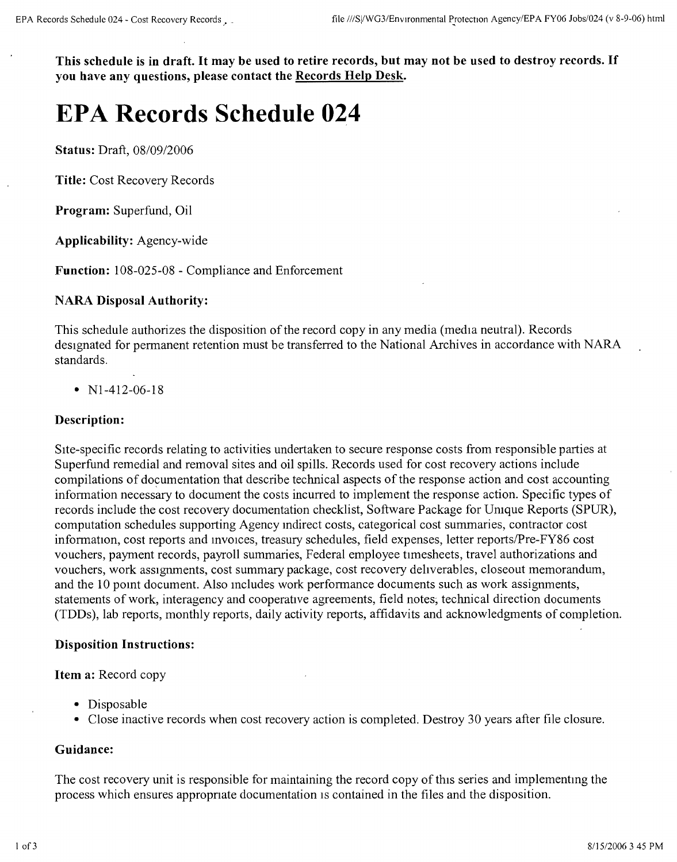This schedule is in draft. It may be used to retire records, but may not be used to destroy records. If **you have any questions, please contact the Records Help Desk.**

# **EPA Records Schedule 024**

**Status:** Draft, *08/09/2006*

**Title:** Cost Recovery Records

**Program:** Superfund, Oil

**Applicability:** Agency-wide

**Function:** 108-025-08 - Compliance and Enforcement

## **NARA Disposal Authority:**

This schedule authorizes the disposition of the record copy in any media (media neutral). Records designated for permanent retention must be transferred to the National Archives in accordance with NARA standards.

•  $N1-412-06-18$ 

## **Description:**

SIte-specific records relating to activities undertaken to secure response costs from responsible parties at Superfund remedial and removal sites and oil spills. Records used for cost recovery actions include compilations of documentation that describe technical aspects of the response action and cost accounting information necessary to document the costs incurred to implement the response action. Specific types of records include the cost recovery documentation checklist, Software Package for Umque Reports (SPUR), computation schedules supporting Agency mdirect costs, categorical cost summaries, contractor cost information, cost reports and invoices, treasury schedules, field expenses, letter reports/Pre-FY86 cost vouchers, payment records, payroll summaries, Federal employee tirnesheets, travel authorizations and vouchers, work assignments, cost summary package, cost recovery dehverables, closeout memorandum, and the 10 pomt document. Also mcludes work performance documents such as work assignments, statements of work, interagency and cooperative agreements, field notes; technical direction documents (TDDs), lab reports, monthly reports, daily activity reports, affidavits and acknowledgments of completion.

#### **Disposition Instructions:**

**Item a:** Record copy

- Disposable
- Close inactive records when cost recovery action is completed. Destroy 30 years after file closure.

#### **Guidance:**

The cost recovery unit is responsible for maintaining the record copy of this series and implementmg the process which ensures appropnate documentation IScontained in the files and the disposition.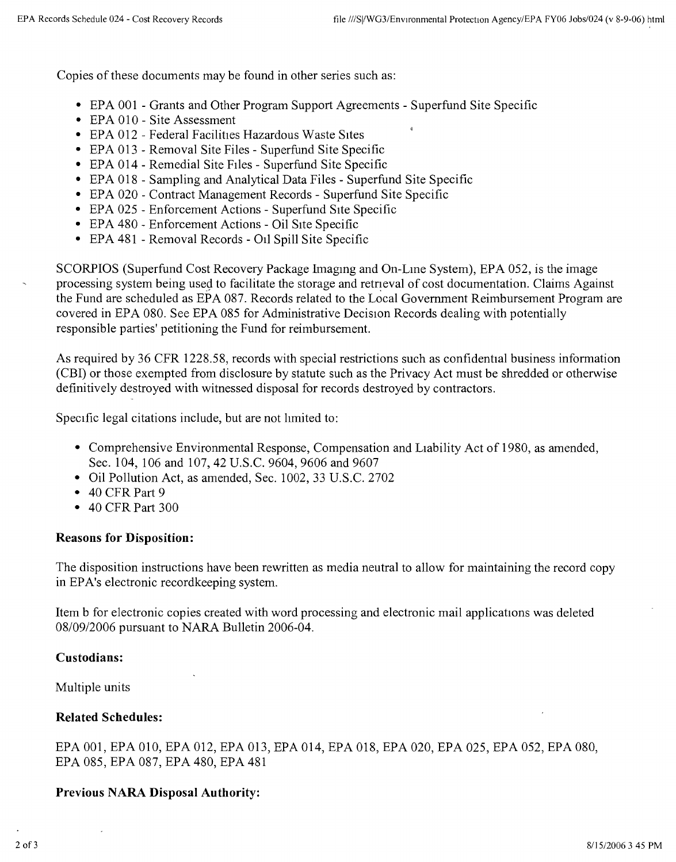Copies of these documents may be found in other series such as:

- EPA 001 Grants and Other Program Support Agreements Superfund Site Specific
- EPA 010 Site Assessment
- EPA 012 Federal Facilities Hazardous Waste Sites
- EPA 013 Removal Site Files Superfund Site Specific
- EPA 014 Remedial Site Files Superfund Site Specific
- EPA 018 Sampling and Analytical Data Files Superfund Site Specific
- EPA 020 Contract Management Records Superfund Site Specific
- EPA 025 Enforcement Actions Superfund Site Specific
- EPA 480 Enforcement Actions Oil Site Specific
- EPA 481 Removal Records Oil Spill Site Specific

SCORPIOS (Superfund Cost Recovery Package Imagmg and On- Lme System), EPA 052, is the image processing system being used to facilitate the storage and retrieval of cost documentation. Claims Against the Fund are scheduled as EPA 087. Records related to the Local Government Reimbursement Program are covered in EPA 080. See EPA 085 for Administrative Decision Records dealing with potentially responsible parties' petitioning the Fund for reimbursement.

As required by 36 CFR 1228.58, records with special restrictions such as confidential business information (CBI) or those exempted from disclosure by statute such as the Privacy Act must be shredded or otherwise definitively destroyed with witnessed disposal for records destroyed by contractors.

Specific legal citations include, but are not limited to:

- Comprehensive Environmental Response, Compensation and Liability Act of 1980, as amended, Sec. 104, 106 and 107, 42 U.S.C. 9604, 9606 and 9607
- Oil Pollution Act, as amended, Sec. 1002, 33 U.S.C. 2702
- 40 CFR Part 9
- 40 CFR Part 300

# **Reasons for Disposition:**

The disposition instructions have been rewritten as media neutral to allow for maintaining the record copy in EPA's electronic recordkeeping system.

Item b for electronic copies created with word processing and electronic mail applications was deleted *08/0912006* pursuant to NARA Bulletin 2006-04.

# **Custodians:**

Multiple units

# **Related Schedules:**

EPA 001, EPA 010, EPA 012, EPA 013, EPA 014, EPA 018, EPA 020, EPA 025, EPA 052, EPA 080, EPA 085, EPA 087, EPA 480, EPA 481

# **Previous NARA Disposal Authority:**